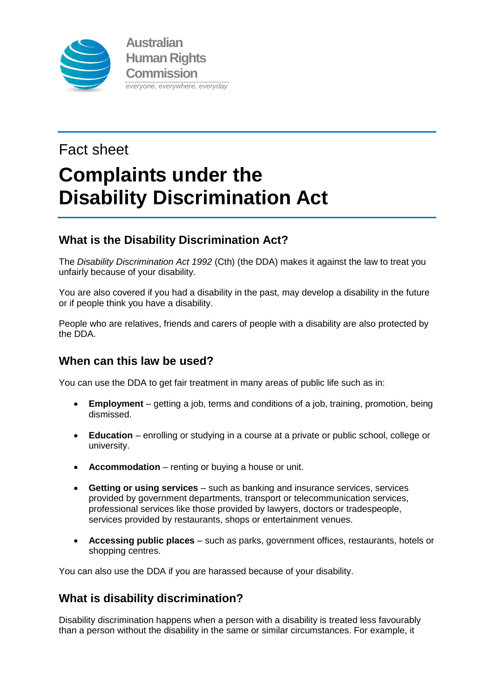

# Fact sheet **Complaints under the Disability Discrimination Act**

# **What is the Disability Discrimination Act?**

The *Disability Discrimination Act 1992* (Cth) (the DDA) makes it against the law to treat you unfairly because of your disability.

You are also covered if you had a disability in the past, may develop a disability in the future or if people think you have a disability.

People who are relatives, friends and carers of people with a disability are also protected by the DDA.

## **When can this law be used?**

You can use the DDA to get fair treatment in many areas of public life such as in:

- **Employment** getting a job, terms and conditions of a job, training, promotion, being dismissed.
- **Education** enrolling or studying in a course at a private or public school, college or university.
- **Accommodation** renting or buying a house or unit.
- **Getting or using services** such as banking and insurance services, services provided by government departments, transport or telecommunication services, professional services like those provided by lawyers, doctors or tradespeople, services provided by restaurants, shops or entertainment venues.
- **Accessing public places** such as parks, government offices, restaurants, hotels or shopping centres.

You can also use the DDA if you are harassed because of your disability.

## **What is disability discrimination?**

Disability discrimination happens when a person with a disability is treated less favourably than a person without the disability in the same or similar circumstances. For example, it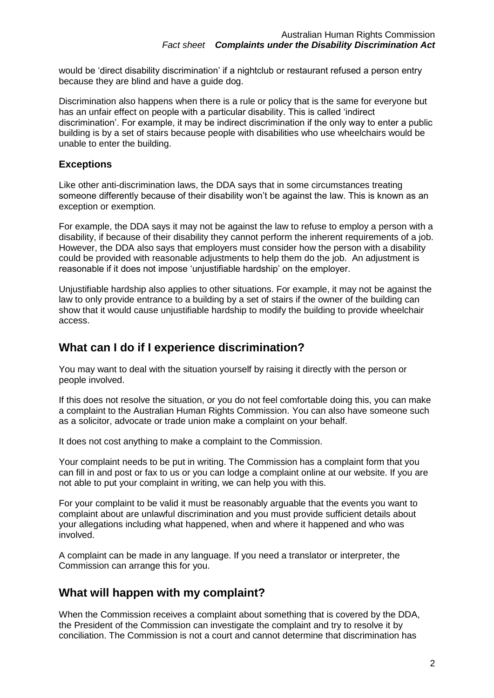would be 'direct disability discrimination' if a nightclub or restaurant refused a person entry because they are blind and have a guide dog.

Discrimination also happens when there is a rule or policy that is the same for everyone but has an unfair effect on people with a particular disability. This is called 'indirect discrimination'. For example, it may be indirect discrimination if the only way to enter a public building is by a set of stairs because people with disabilities who use wheelchairs would be unable to enter the building.

#### **Exceptions**

Like other anti-discrimination laws, the DDA says that in some circumstances treating someone differently because of their disability won't be against the law. This is known as an exception or exemption.

For example, the DDA says it may not be against the law to refuse to employ a person with a disability, if because of their disability they cannot perform the inherent requirements of a job. However, the DDA also says that employers must consider how the person with a disability could be provided with reasonable adjustments to help them do the job. An adjustment is reasonable if it does not impose 'unjustifiable hardship' on the employer.

Unjustifiable hardship also applies to other situations. For example, it may not be against the law to only provide entrance to a building by a set of stairs if the owner of the building can show that it would cause unjustifiable hardship to modify the building to provide wheelchair access.

#### **What can I do if I experience discrimination?**

You may want to deal with the situation yourself by raising it directly with the person or people involved.

If this does not resolve the situation, or you do not feel comfortable doing this, you can make a complaint to the Australian Human Rights Commission. You can also have someone such as a solicitor, advocate or trade union make a complaint on your behalf.

It does not cost anything to make a complaint to the Commission.

Your complaint needs to be put in writing. The Commission has a complaint form that you can fill in and post or fax to us or you can lodge a complaint online at our website. If you are not able to put your complaint in writing, we can help you with this.

For your complaint to be valid it must be reasonably arguable that the events you want to complaint about are unlawful discrimination and you must provide sufficient details about your allegations including what happened, when and where it happened and who was involved.

A complaint can be made in any language. If you need a translator or interpreter, the Commission can arrange this for you.

## **What will happen with my complaint?**

When the Commission receives a complaint about something that is covered by the DDA, the President of the Commission can investigate the complaint and try to resolve it by conciliation. The Commission is not a court and cannot determine that discrimination has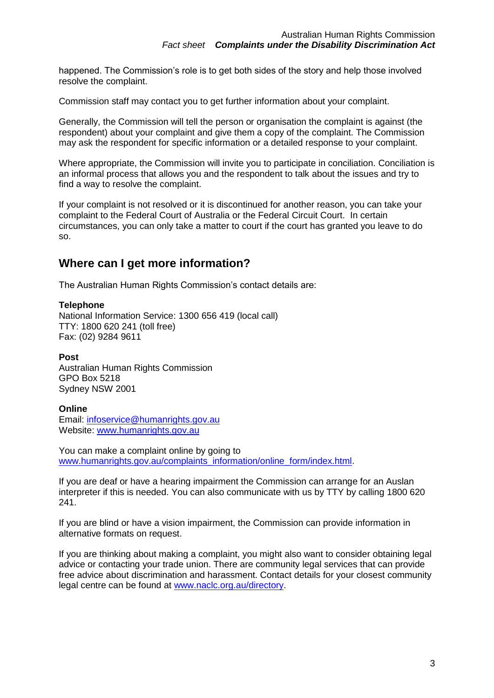happened. The Commission's role is to get both sides of the story and help those involved resolve the complaint.

Commission staff may contact you to get further information about your complaint.

Generally, the Commission will tell the person or organisation the complaint is against (the respondent) about your complaint and give them a copy of the complaint. The Commission may ask the respondent for specific information or a detailed response to your complaint.

Where appropriate, the Commission will invite you to participate in conciliation. Conciliation is an informal process that allows you and the respondent to talk about the issues and try to find a way to resolve the complaint.

If your complaint is not resolved or it is discontinued for another reason, you can take your complaint to the Federal Court of Australia or the Federal Circuit Court. In certain circumstances, you can only take a matter to court if the court has granted you leave to do so.

## **Where can I get more information?**

The Australian Human Rights Commission's contact details are:

#### **Telephone**

National Information Service: 1300 656 419 (local call) TTY: 1800 620 241 (toll free) Fax: (02) 9284 9611

#### **Post**

Australian Human Rights Commission GPO Box 5218 Sydney NSW 2001

#### **Online**

Email: [infoservice@humanrights.gov.au](mailto:infoservice@humanrights.gov.au) Website: [www.humanrights.gov.au](http://www.humanrights.gov.au/)

You can make a complaint online by going to [www.humanrights.gov.au/complaints\\_information/online\\_form/index.html.](http://www.humanrights.gov.au/complaints_information/online_form/index.html)

If you are deaf or have a hearing impairment the Commission can arrange for an Auslan interpreter if this is needed. You can also communicate with us by TTY by calling 1800 620 241.

If you are blind or have a vision impairment, the Commission can provide information in alternative formats on request.

If you are thinking about making a complaint, you might also want to consider obtaining legal advice or contacting your trade union. There are community legal services that can provide free advice about discrimination and harassment. Contact details for your closest community legal centre can be found at [www.naclc.org.au/directory.](http://www.naclc.org.au/directory)